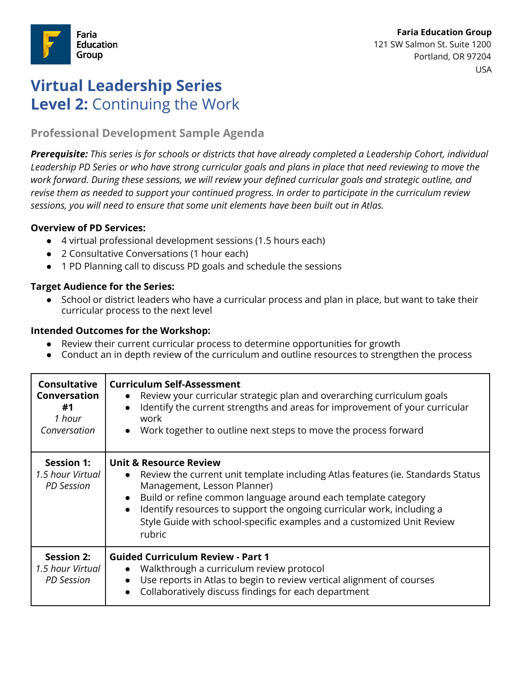

# **Virtual Leadership Series Level 2:** Continuing the Work

# **Professional Development Sample Agenda**

*Prerequisite: This series is for schools or districts that have already completed a Leadership Cohort, individual Leadership PD Series or who have strong curricular goals and plans in place that need reviewing to move the work forward. During these sessions, we will review your defined curricular goals and strategic outline, and revise them as needed to support your continued progress. In order to participate in the curriculum review sessions, you will need to ensure that some unit elements have been built out in Atlas.*

#### **Overview of PD Services:**

- 4 virtual professional development sessions (1.5 hours each)
- 2 Consultative Conversations (1 hour each)
- 1 PD Planning call to discuss PD goals and schedule the sessions

## **Target Audience for the Series:**

School or district leaders who have a curricular process and plan in place, but want to take their curricular process to the next level

## **Intended Outcomes for the Workshop:**

- Review their current curricular process to determine opportunities for growth
- Conduct an in depth review of the curriculum and outline resources to strengthen the process

| <b>Consultative</b><br><b>Conversation</b><br>#1<br>1 hour<br>Conversation | <b>Curriculum Self-Assessment</b><br>Review your curricular strategic plan and overarching curriculum goals<br>$\bullet$<br>Identify the current strengths and areas for improvement of your curricular<br>$\bullet$<br>work<br>Work together to outline next steps to move the process forward                                                                                                                           |
|----------------------------------------------------------------------------|---------------------------------------------------------------------------------------------------------------------------------------------------------------------------------------------------------------------------------------------------------------------------------------------------------------------------------------------------------------------------------------------------------------------------|
| <b>Session 1:</b><br>1.5 hour Virtual<br><b>PD</b> Session                 | <b>Unit &amp; Resource Review</b><br>Review the current unit template including Atlas features (ie. Standards Status<br>$\bullet$<br>Management, Lesson Planner)<br>Build or refine common language around each template category<br>$\bullet$<br>Identify resources to support the ongoing curricular work, including a<br>$\bullet$<br>Style Guide with school-specific examples and a customized Unit Review<br>rubric |
| <b>Session 2:</b><br>1.5 hour Virtual<br><b>PD</b> Session                 | <b>Guided Curriculum Review - Part 1</b><br>Walkthrough a curriculum review protocol<br>$\bullet$<br>Use reports in Atlas to begin to review vertical alignment of courses<br>Collaboratively discuss findings for each department                                                                                                                                                                                        |